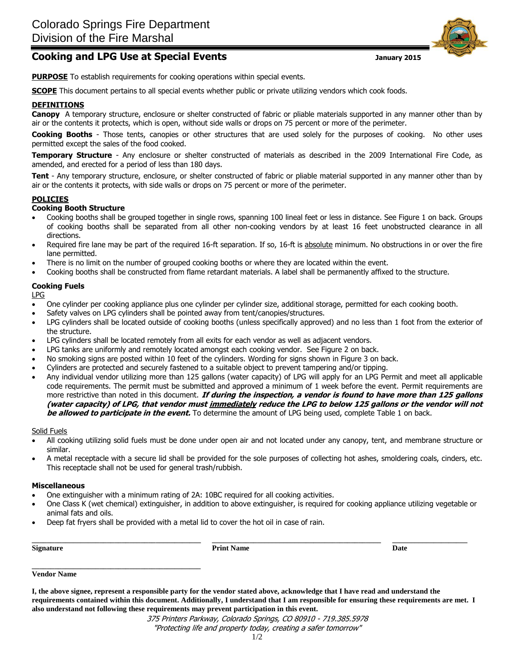## **Cooking and LPG Use at Special Events January <sup>2015</sup>**



**SCOPE** This document pertains to all special events whether public or private utilizing vendors which cook foods.

## **DEFINITIONS**

**Canopy** A temporary structure, enclosure or shelter constructed of fabric or pliable materials supported in any manner other than by air or the contents it protects, which is open, without side walls or drops on 75 percent or more of the perimeter.

**Cooking Booths** - Those tents, canopies or other structures that are used solely for the purposes of cooking. No other uses permitted except the sales of the food cooked.

**Temporary Structure** - Any enclosure or shelter constructed of materials as described in the 2009 International Fire Code, as amended, and erected for a period of less than 180 days.

**Tent** - Any temporary structure, enclosure, or shelter constructed of fabric or pliable material supported in any manner other than by air or the contents it protects, with side walls or drops on 75 percent or more of the perimeter.

## **POLICIES**

#### **Cooking Booth Structure**

- Cooking booths shall be grouped together in single rows, spanning 100 lineal feet or less in distance. See Figure 1 on back. Groups of cooking booths shall be separated from all other non-cooking vendors by at least 16 feet unobstructed clearance in all directions.
- Required fire lane may be part of the required 16-ft separation. If so, 16-ft is absolute minimum. No obstructions in or over the fire lane permitted.
- There is no limit on the number of grouped cooking booths or where they are located within the event.
- Cooking booths shall be constructed from flame retardant materials. A label shall be permanently affixed to the structure.

### **Cooking Fuels**

LPG

- One cylinder per cooking appliance plus one cylinder per cylinder size, additional storage, permitted for each cooking booth.
- Safety valves on LPG cylinders shall be pointed away from tent/canopies/structures.
- LPG cylinders shall be located outside of cooking booths (unless specifically approved) and no less than 1 foot from the exterior of the structure.
- LPG cylinders shall be located remotely from all exits for each vendor as well as adjacent vendors.
- LPG tanks are uniformly and remotely located amongst each cooking vendor. See Figure 2 on back.
- No smoking signs are posted within 10 feet of the cylinders. Wording for signs shown in Figure 3 on back.
- Cylinders are protected and securely fastened to a suitable object to prevent tampering and/or tipping.
- Any individual vendor utilizing more than 125 gallons (water capacity) of LPG will apply for an LPG Permit and meet all applicable code requirements. The permit must be submitted and approved a minimum of 1 week before the event. Permit requirements are more restrictive than noted in this document. **If during the inspection, a vendor is found to have more than 125 gallons (water capacity) of LPG, that vendor must immediately reduce the LPG to below 125 gallons or the vendor will not be allowed to participate in the event.** To determine the amount of LPG being used, complete Table 1 on back.

#### Solid Fuels

- All cooking utilizing solid fuels must be done under open air and not located under any canopy, tent, and membrane structure or similar.
- A metal receptacle with a secure lid shall be provided for the sole purposes of collecting hot ashes, smoldering coals, cinders, etc. This receptacle shall not be used for general trash/rubbish.

#### **Miscellaneous**

- One extinguisher with a minimum rating of 2A: 10BC required for all cooking activities.
- One Class K (wet chemical) extinguisher, in addition to above extinguisher, is required for cooking appliance utilizing vegetable or animal fats and oils.
- Deep fat fryers shall be provided with a metal lid to cover the hot oil in case of rain.

**\_\_\_\_\_\_\_\_\_\_\_\_\_\_\_\_\_\_\_\_\_\_\_\_\_\_\_\_\_\_\_\_\_\_\_\_\_\_\_\_\_\_\_\_\_ \_\_\_\_\_\_\_\_\_\_\_\_\_\_\_\_\_\_\_\_\_\_\_\_\_\_\_\_\_\_\_\_\_\_\_\_\_\_\_\_\_\_\_\_\_ \_\_\_\_\_\_\_\_\_\_\_\_\_\_\_\_\_\_\_\_**

**Signature Print Name Date**

**Vendor Name**

**\_\_\_\_\_\_\_\_\_\_\_\_\_\_\_\_\_\_\_\_\_\_\_\_\_\_\_\_\_\_\_\_\_\_\_\_\_\_\_\_\_\_\_\_\_**

**I, the above signee, represent a responsible party for the vendor stated above, acknowledge that I have read and understand the requirements contained within this document. Additionally, I understand that I am responsible for ensuring these requirements are met. I also understand not following these requirements may prevent participation in this event.**